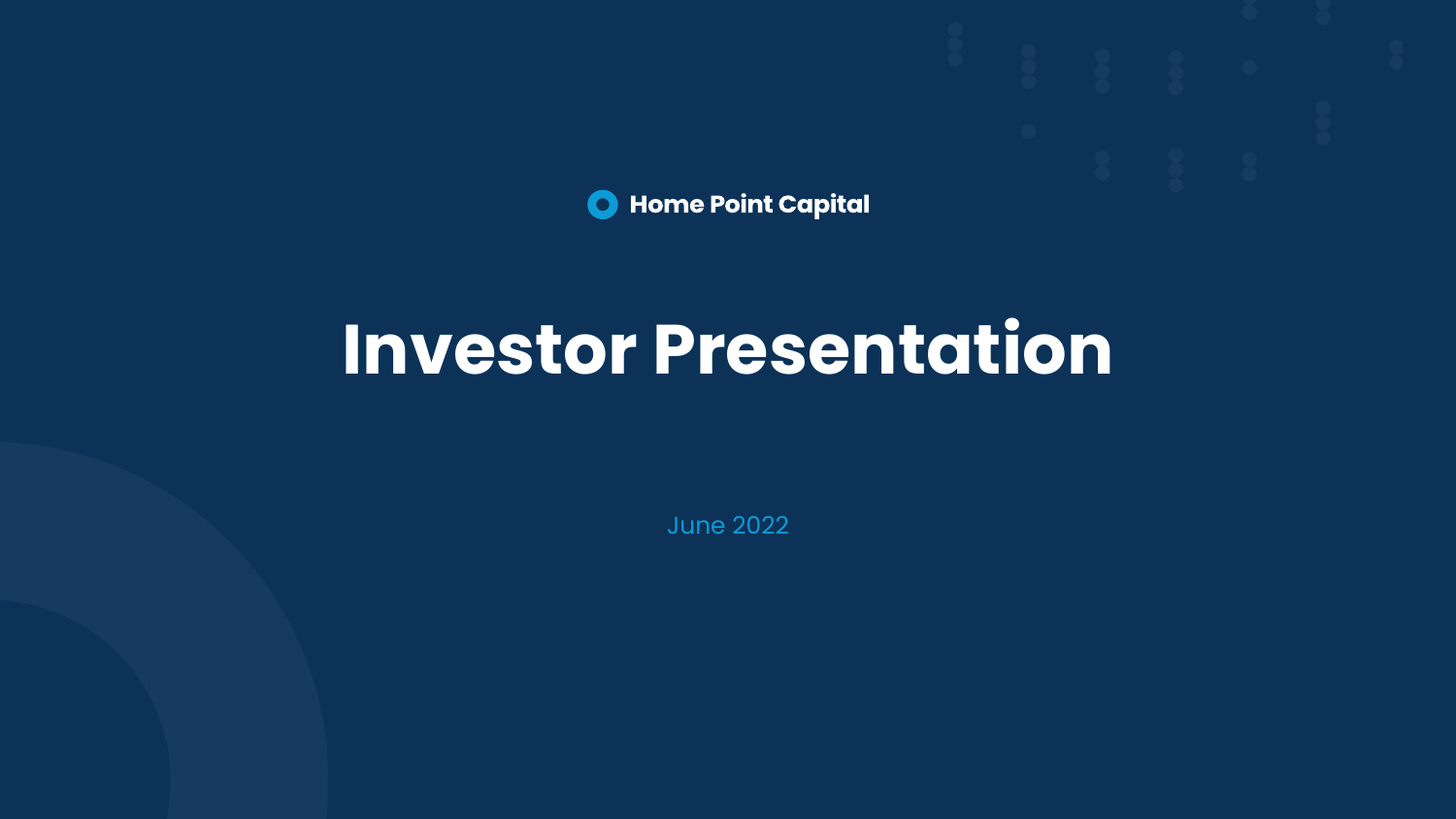

# **Investor Presentation**

June 2022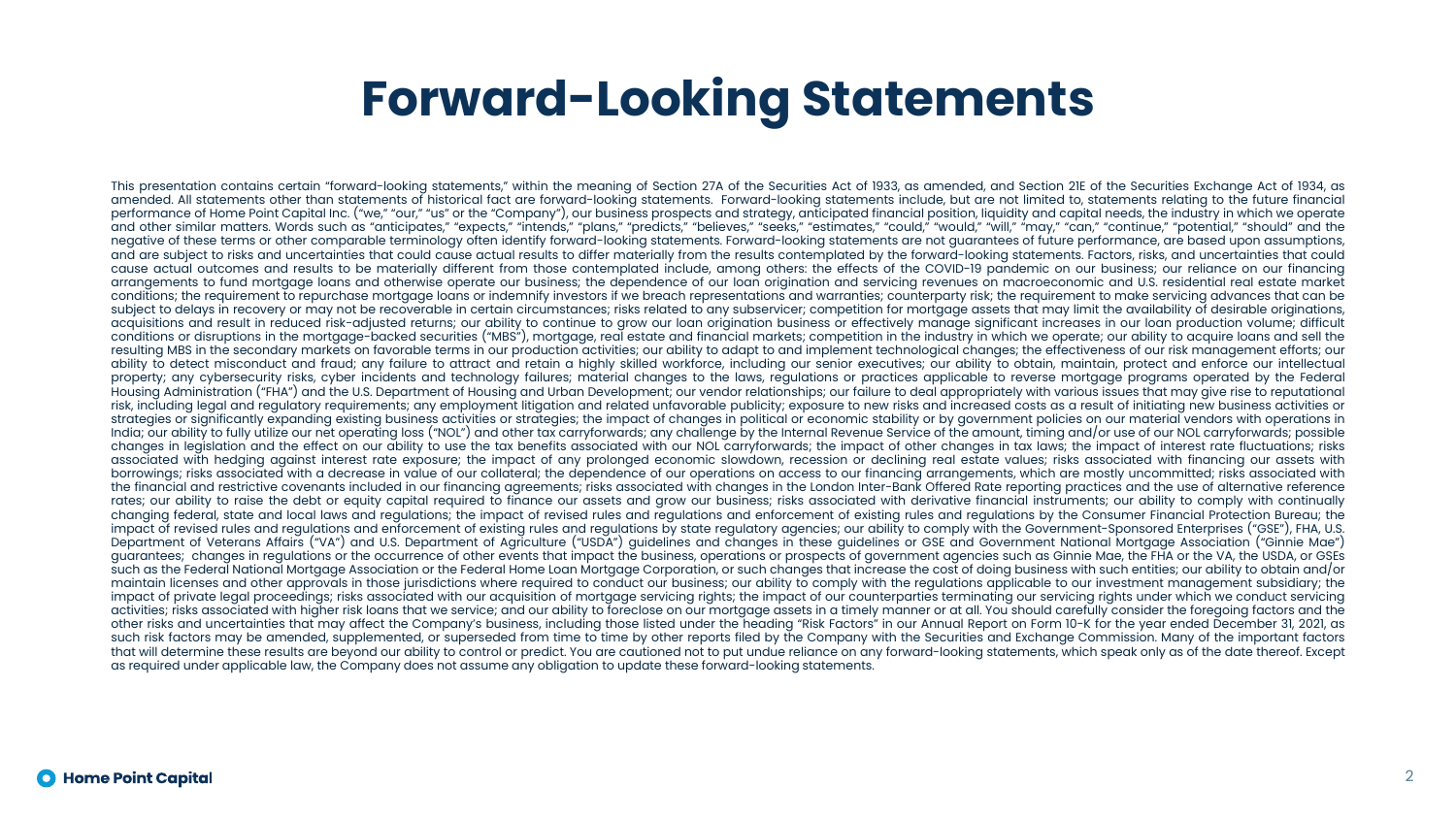### **Forward-Looking Statements**

This presentation contains certain "forward-looking statements," within the meaning of Section 27A of the Securities Act of 1933, as amended, and Section 21E of the Securities Exchange Act of 1934, as amended. All statements other than statements of historical fact are forward-looking statements. Forward-looking statements include, but are not limited to, statements relating to the future financial performance of Home Point Capital Inc. ("we," "our," "us" or the "Company"), our business prospects and strategy, anticipated financial position, liquidity and capital needs, the industry in which we operate and other similar matters. Words such as "anticipates," "expects," "intends," "plans," "predicts," "believes," "seeks," "estimates," "could," "would," "will," "may," "can," "continue," "potential," "should" and the negative of these terms or other comparable terminology often identify forward-looking statements. Forward-looking statements are not guarantees of future performance, are based upon assumptions, and are subject to risks and uncertainties that could cause actual results to differ materially from the results contemplated by the forward-looking statements. Factors, risks, and uncertainties that could cause actual outcomes and results to be materially different from those contemplated include, among others: the effects of the COVID-19 pandemic on our business; our reliance on our financing arrangements to fund mortgage loans and otherwise operate our business; the dependence of our loan origination and servicing revenues on macroeconomic and U.S. residential real estate market conditions; the requirement to repurchase mortgage loans or indemnify investors if we breach representations and warranties; counterparty risk; the requirement to make servicing advances that can be subject to delays in recovery or may not be recoverable in certain circumstances; risks related to any subservicer; competition for mortgage assets that may limit the availability of desirable originations, acquisitions and result in reduced risk-adjusted returns; our ability to continue to grow our loan origination business or effectively manage significant increases in our loan production volume; difficult conditions or disruptions in the mortgage-backed securities ("MBS"), mortgage, real estate and financial markets; competition in the industry in which we operate; our ability to acquire loans and sell the resulting MBS in the secondary markets on favorable terms in our production activities; our ability to adapt to and implement technological changes; the effectiveness of our risk management efforts; our ability to detect misconduct and fraud; any failure to attract and retain a highly skilled workforce, including our senior executives; our ability to obtain, maintain, protect and enforce our intellectual property; any cybersecurity risks, cyber incidents and technology failures; material changes to the laws, regulations or practices applicable to reverse mortgage programs operated by the Federal Housing Administration ("FHA") and the U.S. Department of Housing and Urban Development; our vendor relationships; our failure to deal appropriately with various issues that may give rise to reputational risk, including legal and regulatory requirements; any employment litigation and related unfavorable publicity; exposure to new risks and increased costs as a result of initiating new business activities or strategies or significantly expanding existing business activities or strategies; the impact of changes in political or economic stability or by government policies on our material vendors with operations in India; our ability to fully utilize our net operating loss ("NOL") and other tax carryforwards; any challenge by the Internal Revenue Service of the amount, timing and/or use of our NOL carryforwards; possible changes in legislation and the effect on our ability to use the tax benefits associated with our NOL carryforwards; the impact of other changes in tax laws; the impact of interest rate fluctuations; risks associated with hedging against interest rate exposure; the impact of any prolonged economic slowdown, recession or declining real estate values; risks associated with financing our assets with borrowings; risks associated with a decrease in value of our collateral; the dependence of our operations on access to our financing arrangements, which are mostly uncommitted; risks associated with the financial and restrictive covenants included in our financing agreements; risks associated with changes in the London Inter-Bank Offered Rate reporting practices and the use of alternative reference rates; our ability to raise the debt or equity capital required to finance our assets and grow our business; risks associated with derivative financial instruments; our ability to comply with continually changing federal, state and local laws and regulations; the impact of revised rules and regulations and enforcement of existing rules and regulations by the Consumer Financial Protection Bureau; the impact of revised rules and regulations and enforcement of existing rules and regulations by state regulatory agencies; our ability to comply with the Government-Sponsored Enterprises ("GSE"), FHA, U.S. Department of Veterans Affairs ("VA") and U.S. Department of Agriculture ("USDA") guidelines and changes in these guidelines or GSE and Government National Mortgage Association ("Ginnie Mae") guarantees; changes in regulations or the occurrence of other events that impact the business, operations or prospects of government agencies such as Ginnie Mae, the FHA or the VA, the USDA, or GSEs such as the Federal National Mortgage Association or the Federal Home Loan Mortgage Corporation, or such changes that increase the cost of doing business with such entities; our ability to obtain and/or maintain licenses and other approvals in those jurisdictions where required to conduct our business; our ability to comply with the regulations applicable to our investment management subsidiary; the impact of private legal proceedings; risks associated with our acquisition of mortgage servicing rights; the impact of our counterparties terminating our servicing rights under which we conduct servicing activities; risks associated with higher risk loans that we service; and our ability to foreclose on our mortgage assets in a timely manner or at all. You should carefully consider the foregoing factors and the other risks and uncertainties that may affect the Company's business, including those listed under the heading "Risk Factors" in our Annual Report on Form 10-K for the year ended December 31, 2021, as such risk factors may be amended, supplemented, or superseded from time to time by other reports filed by the Company with the Securities and Exchange Commission. Many of the important factors that will determine these results are beyond our ability to control or predict. You are cautioned not to put undue reliance on any forward-looking statements, which speak only as of the date thereof. Except as required under applicable law, the Company does not assume any obligation to update these forward-looking statements.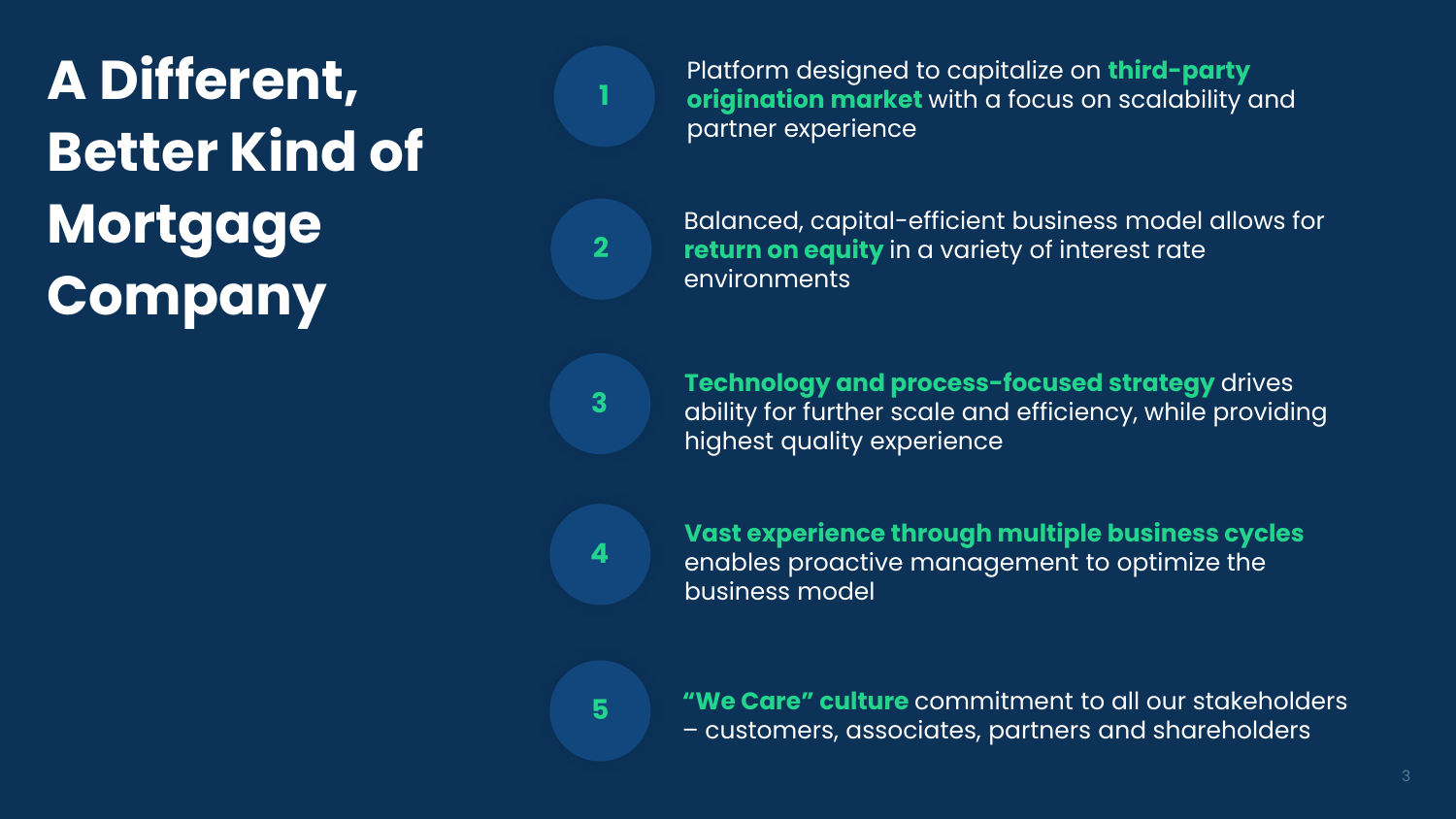**A Different, Better Kind of Mortgage Company**

Platform designed to capitalize on **third-party origination market** with a focus on scalability and partner experience

Balanced, capital-efficient business model allows for **return on equity** in a variety of interest rate environments

**Technology and process-focused strategy** drives ability for further scale and efficiency, while providing highest quality experience

**4**

**3**

**1**

**2**

**Vast experience through multiple business cycles**  enables proactive management to optimize the business model

**5**

**"We Care" culture** commitment to all our stakeholders – customers, associates, partners and shareholders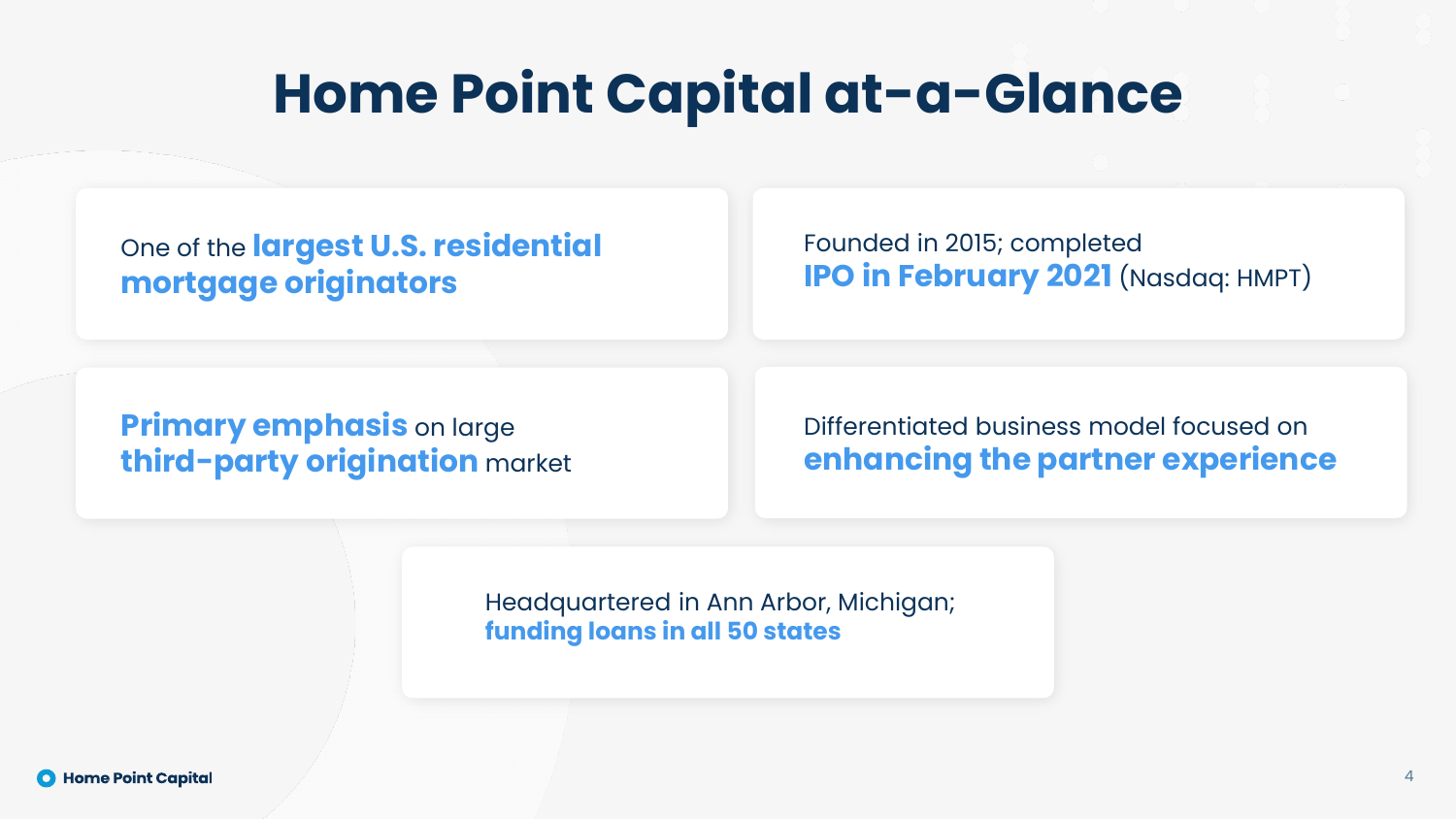## **Home Point Capital at-a-Glance**

One of the **largest U.S. residential mortgage originators**

Founded in 2015; completed **IPO in February 2021** (Nasdaq: HMPT)

**Primary emphasis** on large **third-party origination** market

Differentiated business model focused on **enhancing the partner experience**

Headquartered in Ann Arbor, Michigan; **funding loans in all 50 states**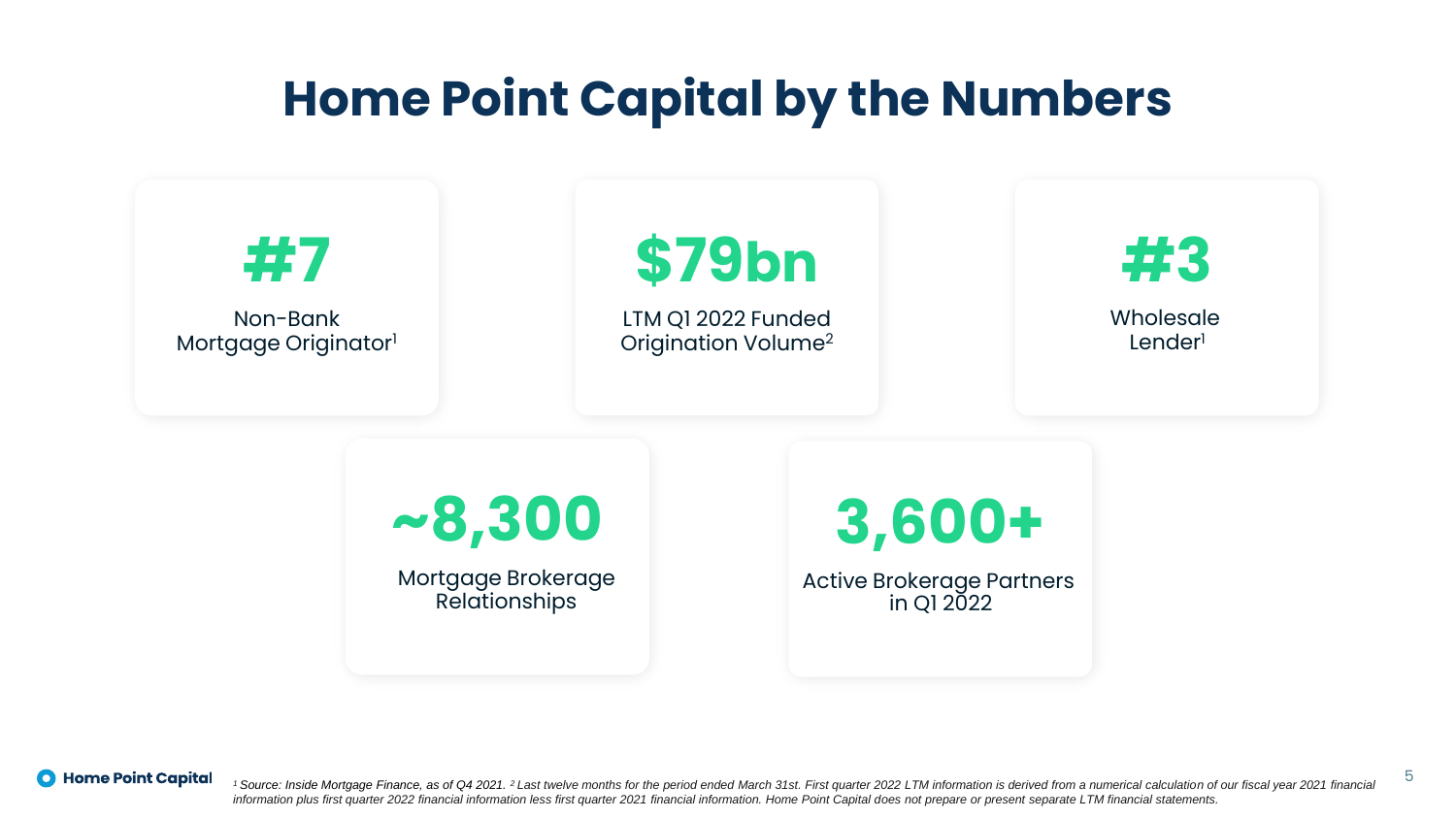### **Home Point Capital by the Numbers**



**O** Home Point Capital

<sup>1</sup> Source: Inside Mortgage Finance, as of Q4 2021. <sup>2</sup> Last twelve months for the period ended March 31st. First quarter 2022 LTM information is derived from a numerical calculation of our fiscal year 2021 financial *information plus first quarter 2022 financial information less first quarter 2021 financial information. Home Point Capital does not prepare or present separate LTM financial statements.* 

5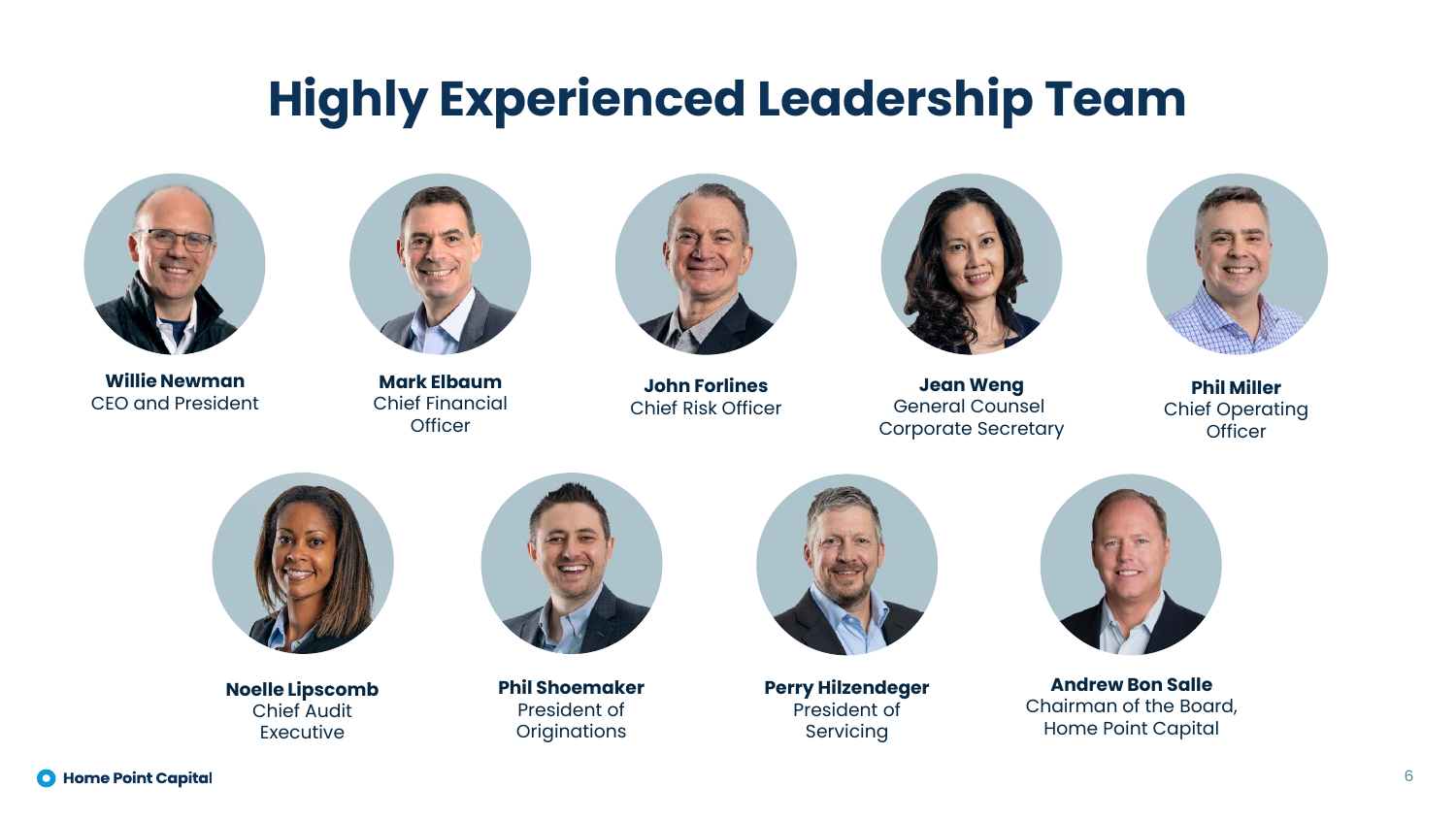### **Highly Experienced Leadership Team**



**Willie Newman** CEO and President



**Mark Elbaum** Chief Financial **Officer** 



**John Forlines** Chief Risk Officer



**Jean Weng** General Counsel Corporate Secretary



**Phil Miller** Chief Operating **Officer** 



**Noelle Lipscomb** Chief Audit Executive



**Phil Shoemaker** President of **Originations** 



**Perry Hilzendeger** President of Servicing



**Andrew Bon Salle** Chairman of the Board, Home Point Capital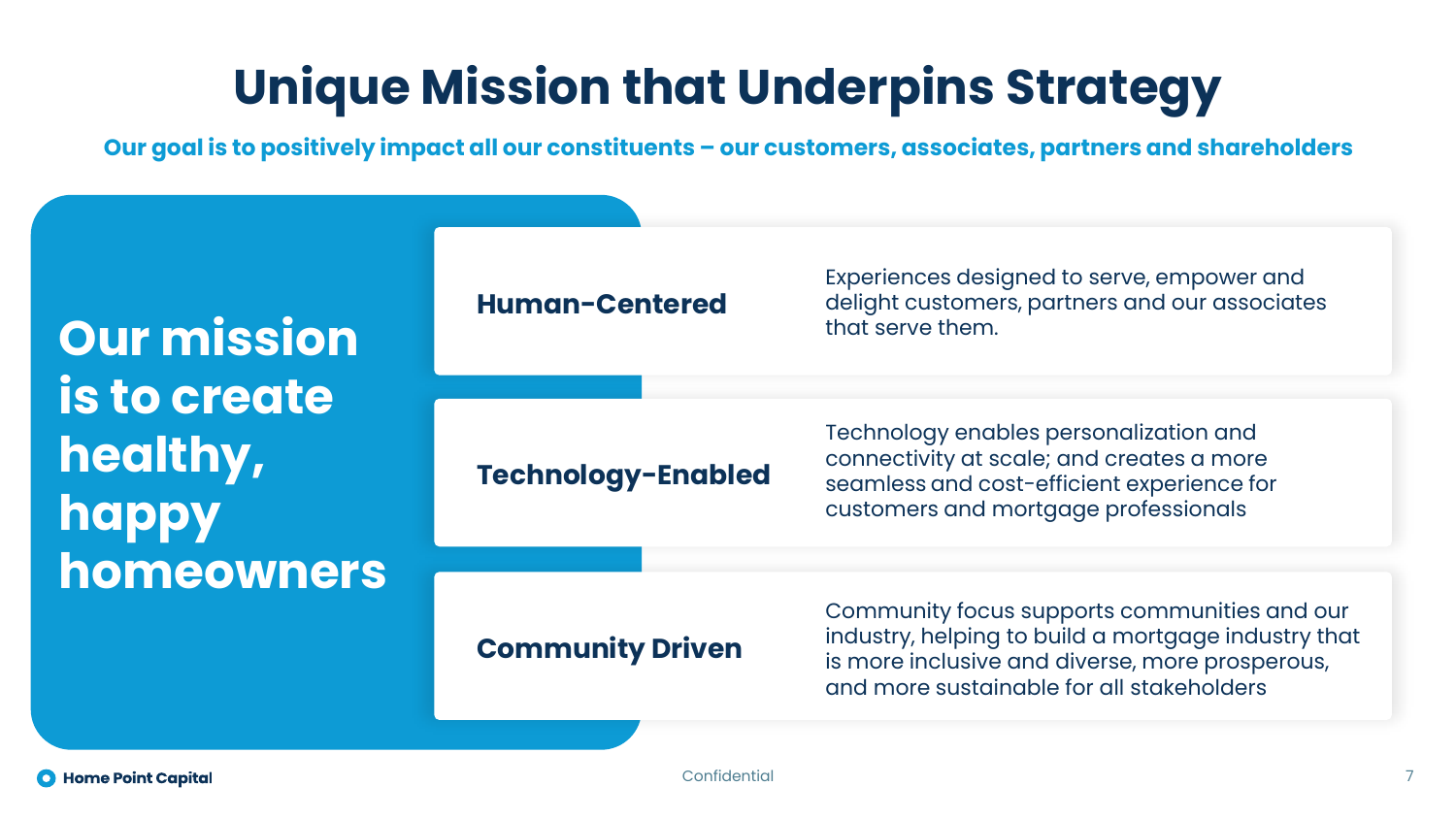### **Unique Mission that Underpins Strategy**

**Our goal is to positively impact all our constituents – our customers, associates, partners and shareholders**

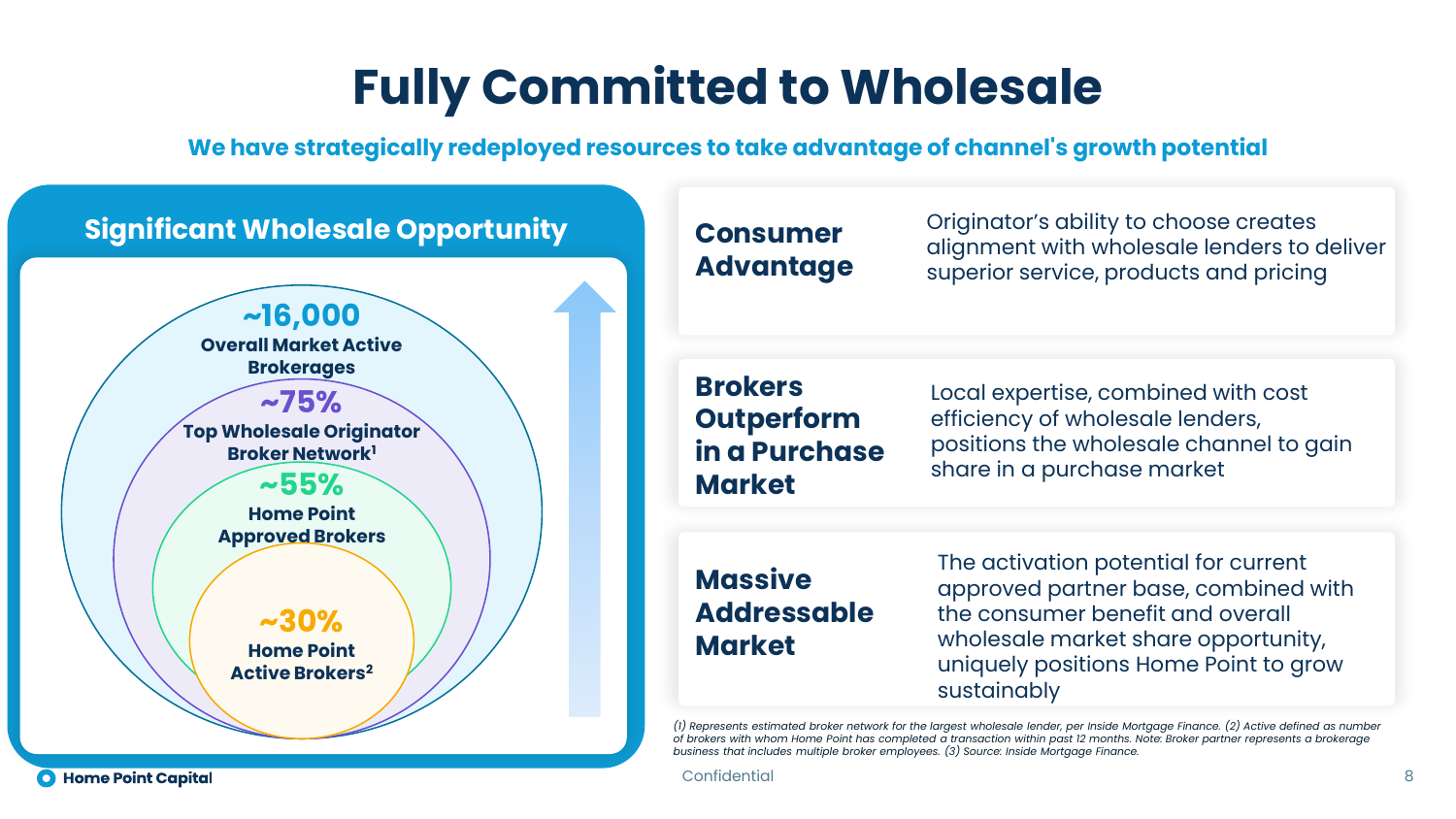### **Fully Committed to Wholesale**

**We have strategically redeployed resources to take advantage of channel's growth potential**



#### *of brokers with whom Home Point has completed a transaction within past 12 months. Note: Broker partner represents a brokerage business that includes multiple broker employees. (3) Source: Inside Mortgage Finance.*

Confidential 8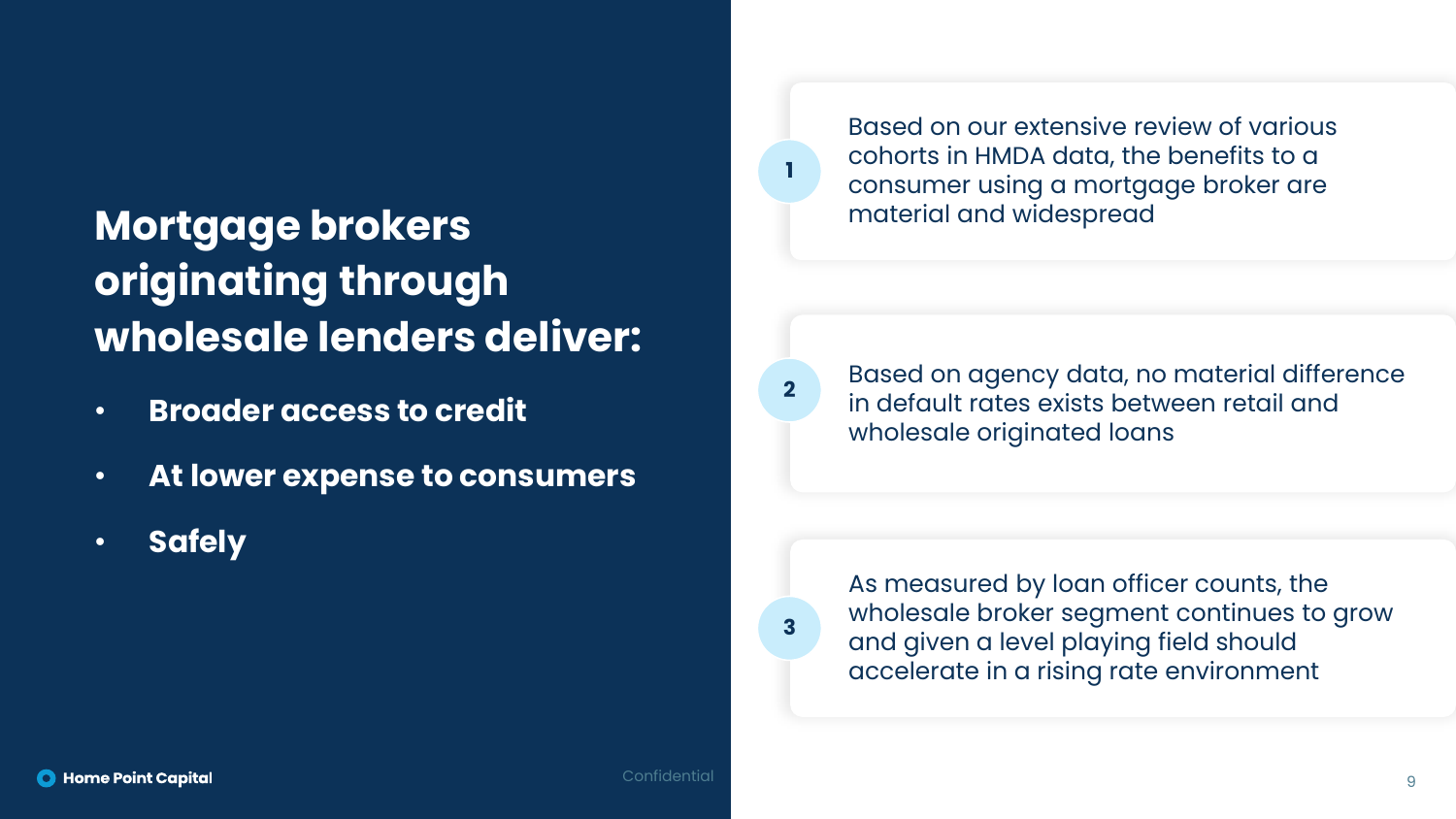### **Mortgage brokers originating through wholesale lenders deliver:**

- **Broader access to credit**
- **At lower expense to consumers**
- **Safely**

Based on our extensive review of various cohorts in HMDA data, the benefits to a consumer using a mortgage broker are material and widespread

**2**

**3**

**1**

Based on agency data, no material difference in default rates exists between retail and wholesale originated loans

As measured by loan officer counts, the wholesale broker segment continues to grow and given a level playing field should accelerate in a rising rate environment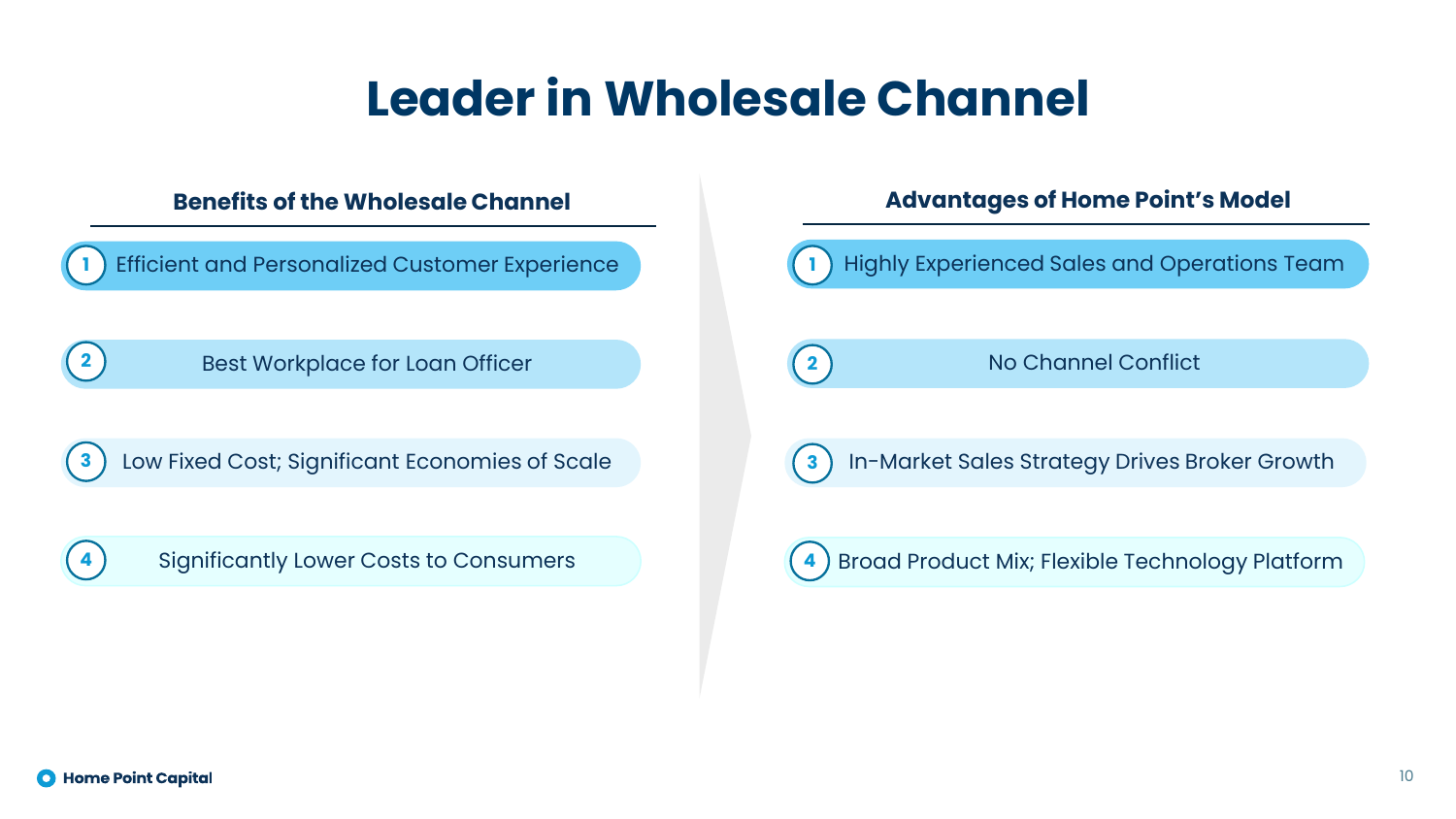### **Leader in Wholesale Channel**

*Efficient and Personalized Customer Experience* 

**2** Best Workplace for Loan Officer

**3** Low Fixed Cost; Significant Economies of Scale

#### **Benefits of the Wholesale Channel Advantages of Home Point's Model**

Highly Experienced Sales and Operations Team **1**

**2**

No Channel Conflict

**3**

In-Market Sales Strategy Drives Broker Growth

#### **4** Significantly Lower Costs to Consumers **4** Broad Product Mix; Flexible Technology Platform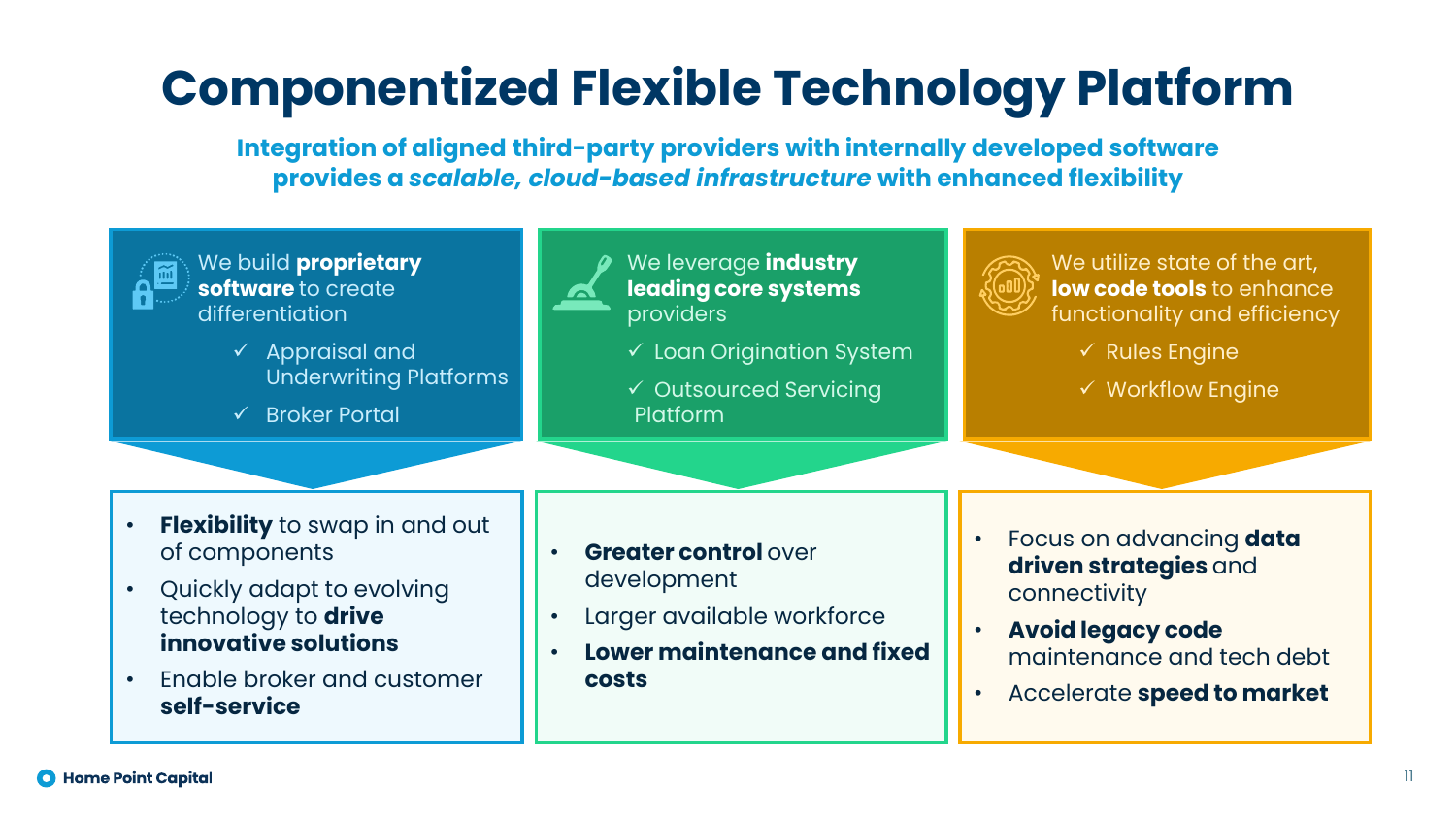## **Componentized Flexible Technology Platform**

**Integration of aligned third-party providers with internally developed software provides a** *scalable, cloud-based infrastructure* **with enhanced flexibility** 



We build **proprietary software** to create differentiation

- ✓ Appraisal and Underwriting Platforms
- ✓ Broker Portal



We leverage **industry leading core systems**  providers

 $\checkmark$  Loan Origination System

✓ Outsourced Servicing Platform



We utilize state of the art, **low code tools** to enhance functionality and efficiency

 $\checkmark$  Rules Engine

 $\checkmark$  Workflow Engine

- **Flexibility** to swap in and out of components
- Quickly adapt to evolving technology to **drive innovative solutions**
- Enable broker and customer **self-service**
- **Greater control over** development
- Larger available workforce
- **Lower maintenance and fixed costs**
- Focus on advancing **data driven strategies** and connectivity
- **Avoid legacy code**  maintenance and tech debt
- Accelerate **speed to market**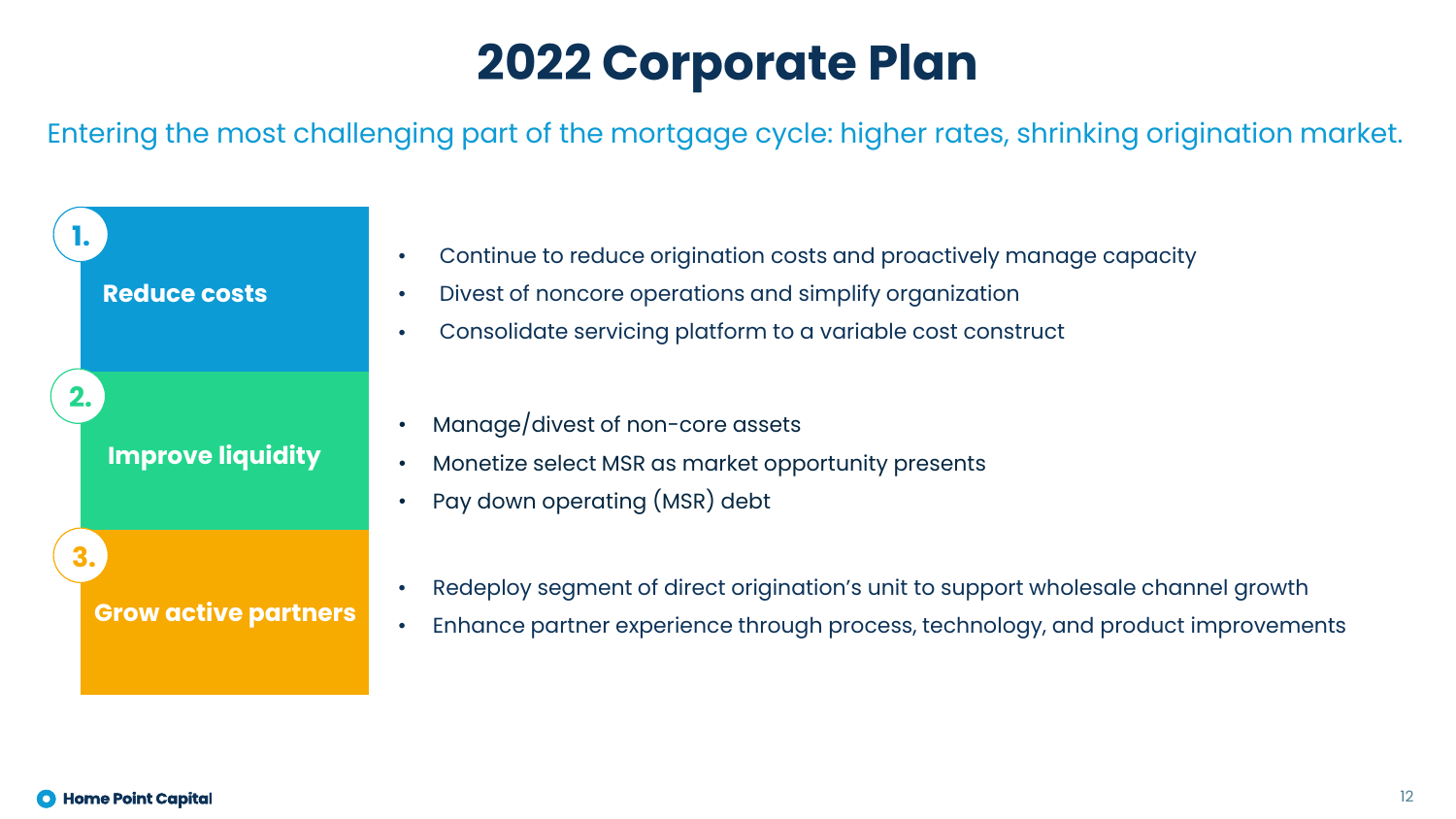### **2022 Corporate Plan**

Entering the most challenging part of the mortgage cycle: higher rates, shrinking origination market.

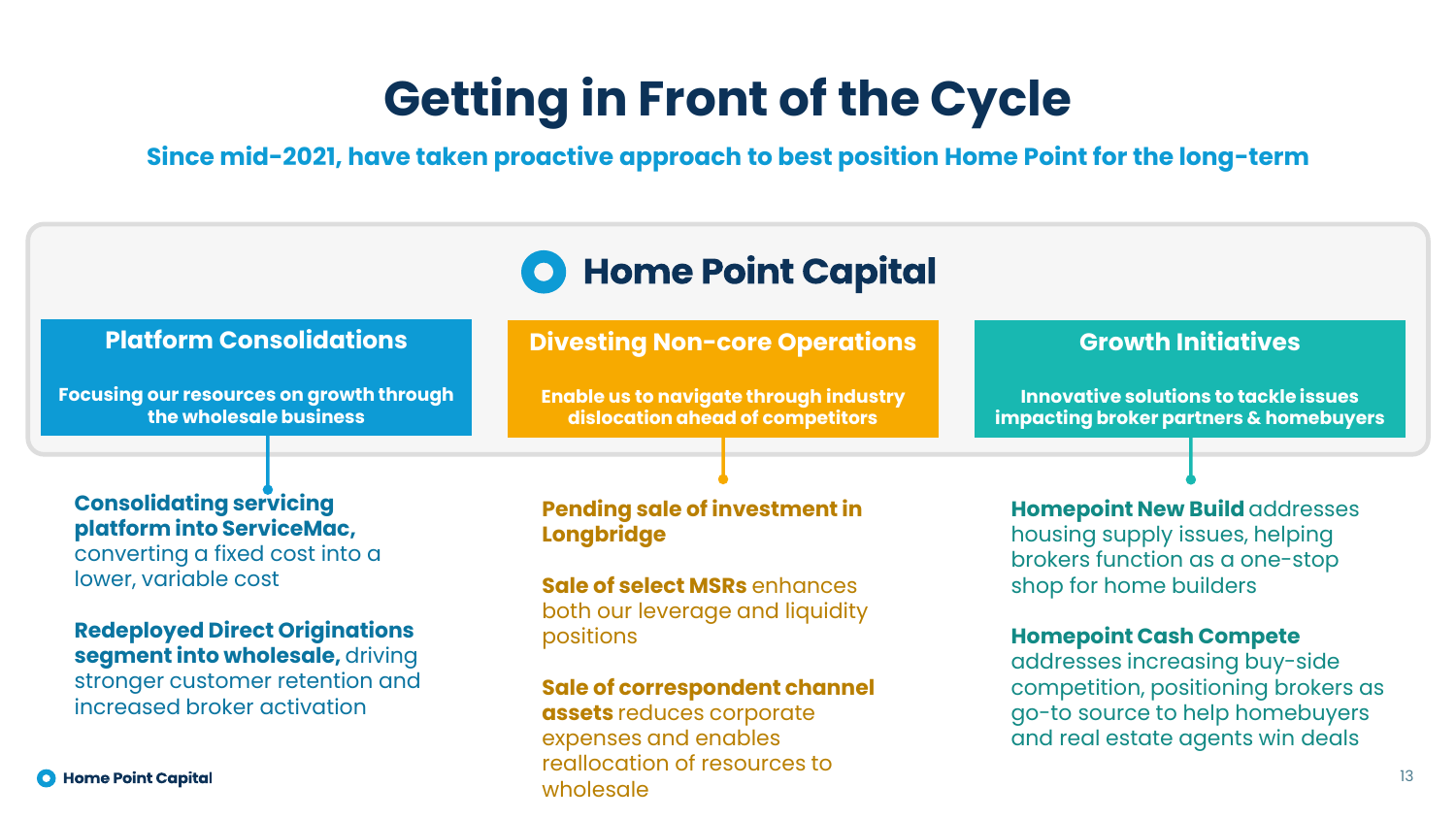### **Getting in Front of the Cycle**

**Since mid-2021, have taken proactive approach to best position Home Point for the long-term**

### **Home Point Capital**

#### **Platform Consolidations**

**Focusing our resources on growth through the wholesale business**

#### **Divesting Non-core Operations**

**Enable us to navigate through industry dislocation ahead of competitors**

#### **Consolidating servicing platform into ServiceMac,**

converting a fixed cost into a lower, variable cost

#### **Redeployed Direct Originations segment into wholesale,** driving stronger customer retention and increased broker activation

**O** Home Point Capital

#### **Pending sale of investment in Longbridge**

**Sale of select MSRs** enhances both our leverage and liquidity positions

#### **Sale of correspondent channel**

**assets** reduces corporate expenses and enables reallocation of resources to wholesale

**Growth Initiatives**

**Innovative solutions to tackle issues impacting broker partners & homebuyers**

#### **Homepoint New Build** addresses housing supply issues, helping brokers function as a one-stop shop for home builders

#### **Homepoint Cash Compete**

addresses increasing buy-side competition, positioning brokers as go-to source to help homebuyers and real estate agents win deals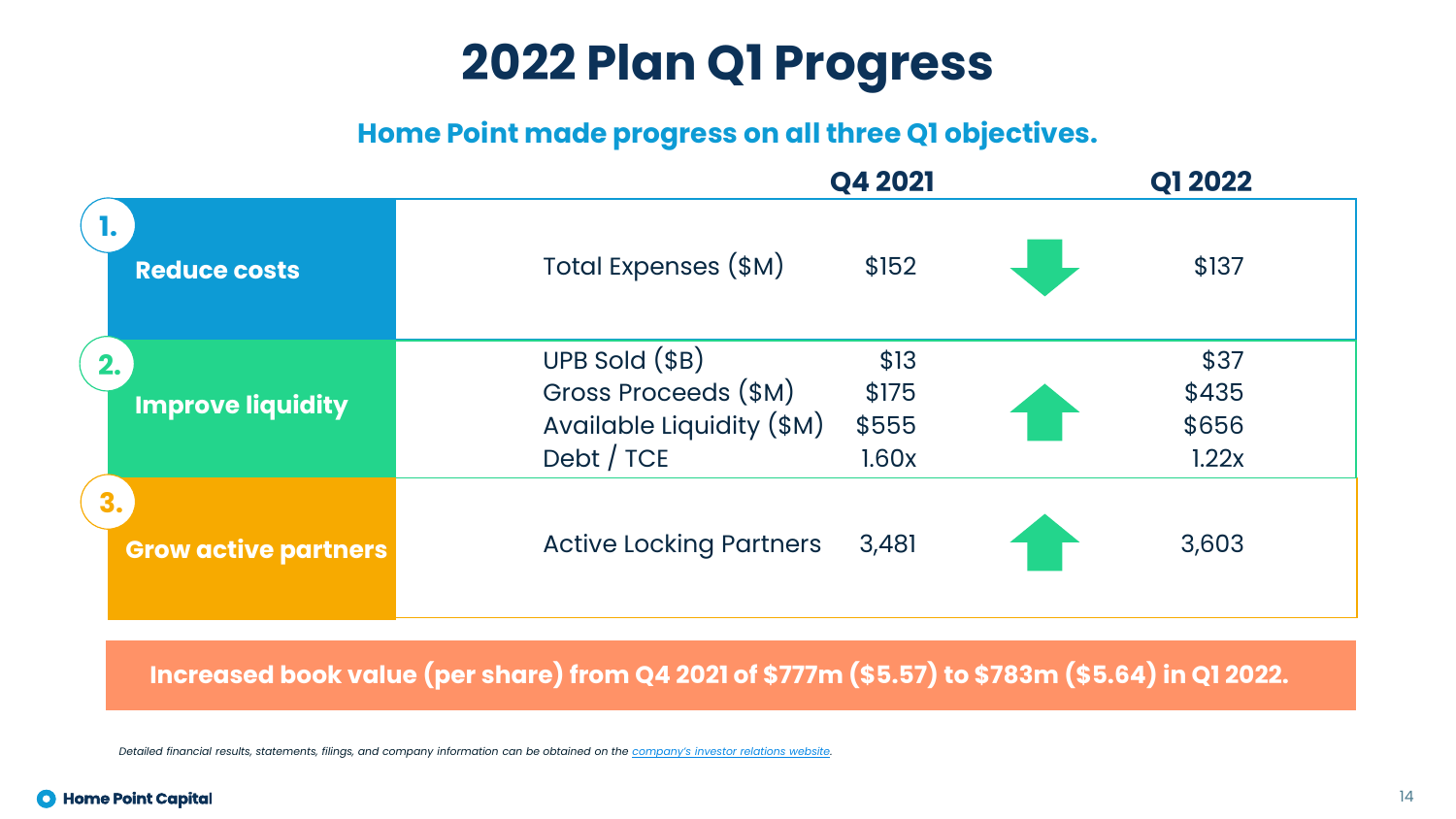### **2022 Plan Q1 Progress**

**Home Point made progress on all three Q1 objectives.**

|                                   | Q4 2021                                                                              |                                 | <b>Q1 2022</b>                  |
|-----------------------------------|--------------------------------------------------------------------------------------|---------------------------------|---------------------------------|
| <b>Reduce costs</b>               | Total Expenses (\$M)                                                                 | \$152                           | \$137                           |
| 2.<br><b>Improve liquidity</b>    | $UPB$ Sold $(SB)$<br>Gross Proceeds (\$M)<br>Available Liquidity (\$M)<br>Debt / TCE | \$13<br>\$175<br>\$555<br>1.60x | \$37<br>\$435<br>\$656<br>1.22x |
| 3.<br><b>Grow active partners</b> | <b>Active Locking Partners</b>                                                       | 3,481                           | 3,603                           |

**Increased book value (per share) from Q4 2021 of \$777m (\$5.57) to \$783m (\$5.64) in Q1 2022.**

*Detailed financial results, statements, filings, and company information can be obtained on the [company's investor relations website](https://investors.homepoint.com/).*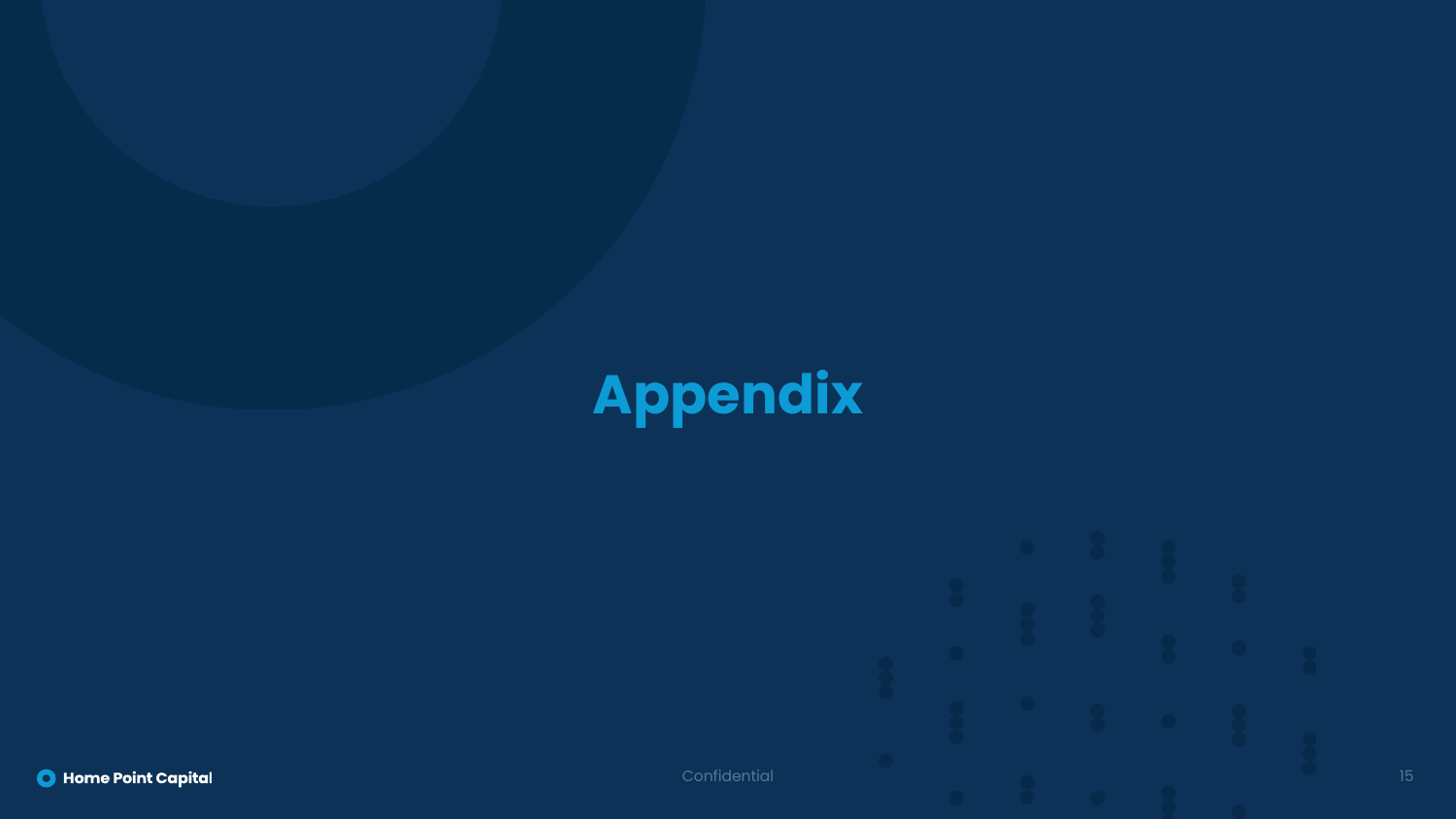# **Appendix**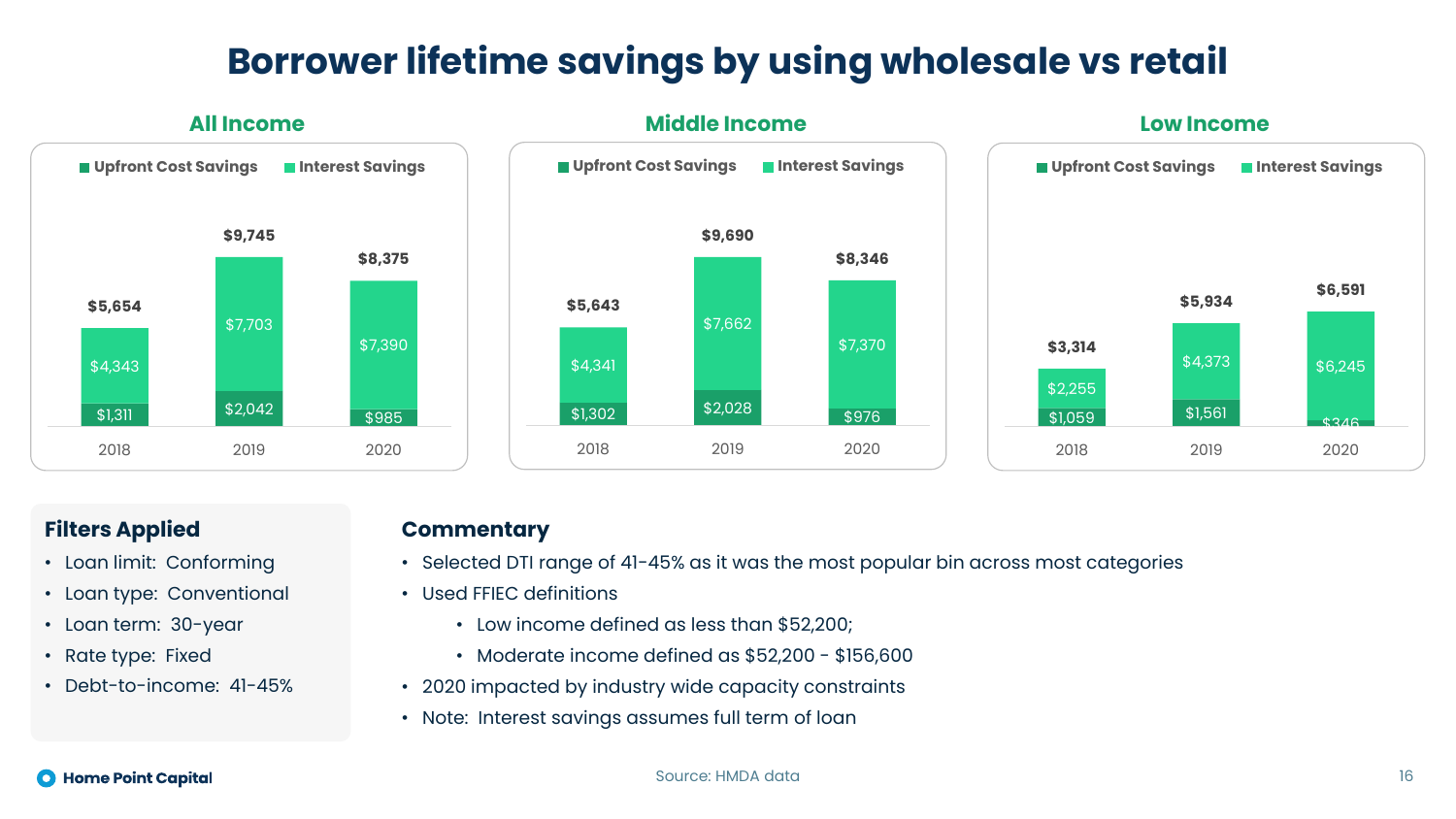### **Borrower lifetime savings by using wholesale vs retail**



#### **Filters Applied**

- Loan limit: Conforming
- Loan type: Conventional
- Loan term: 30-year
- Rate type: Fixed
- Debt-to-income: 41-45%

#### **Commentary**

- Selected DTI range of 41-45% as it was the most popular bin across most categories
- Used FFIEC definitions
	- Low income defined as less than \$52,200;
	- Moderate income defined as \$52,200 \$156,600
- 2020 impacted by industry wide capacity constraints
- Note: Interest savings assumes full term of loan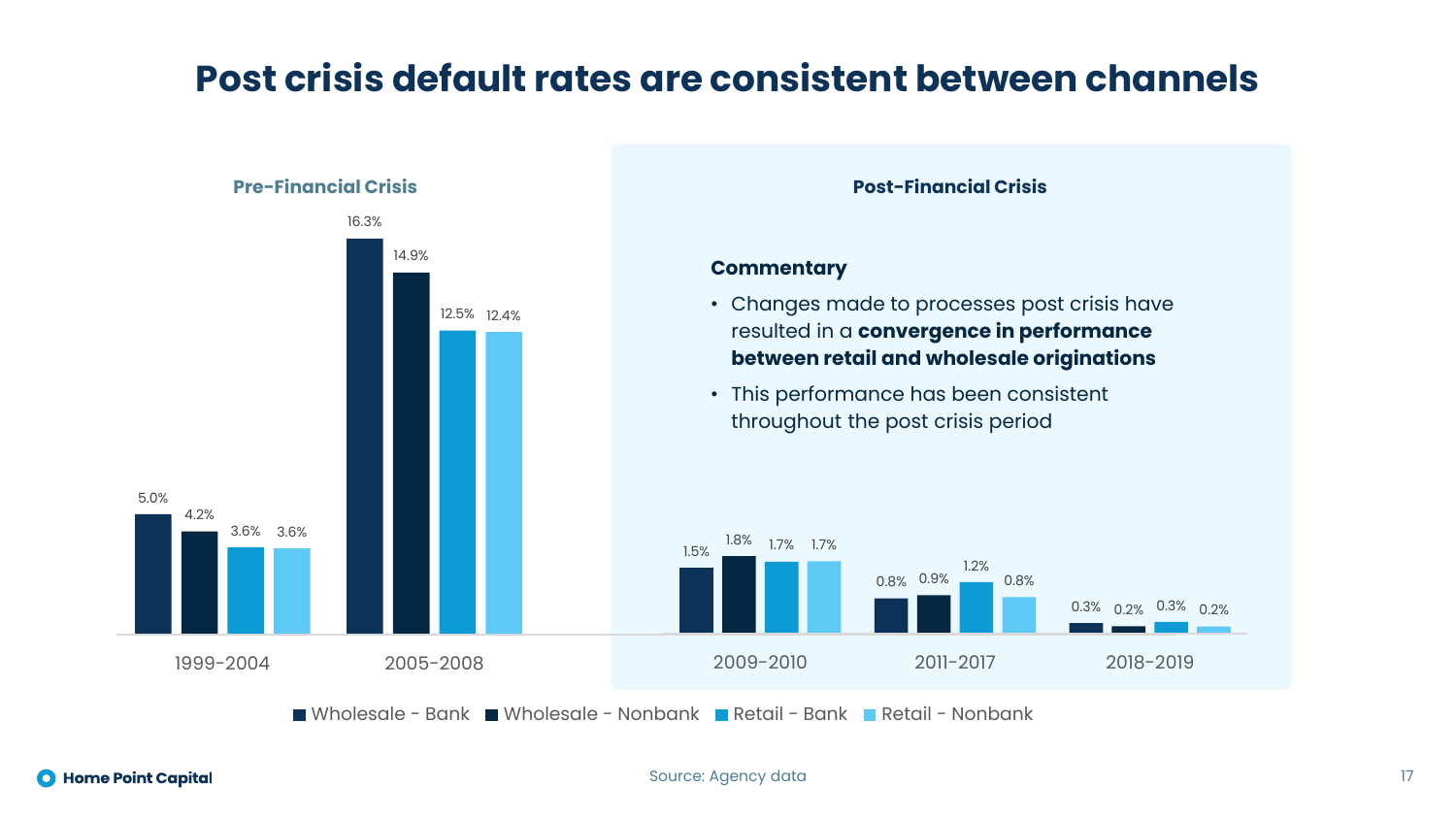### **Post crisis default rates are consistent between channels**



**O** Home Point Capital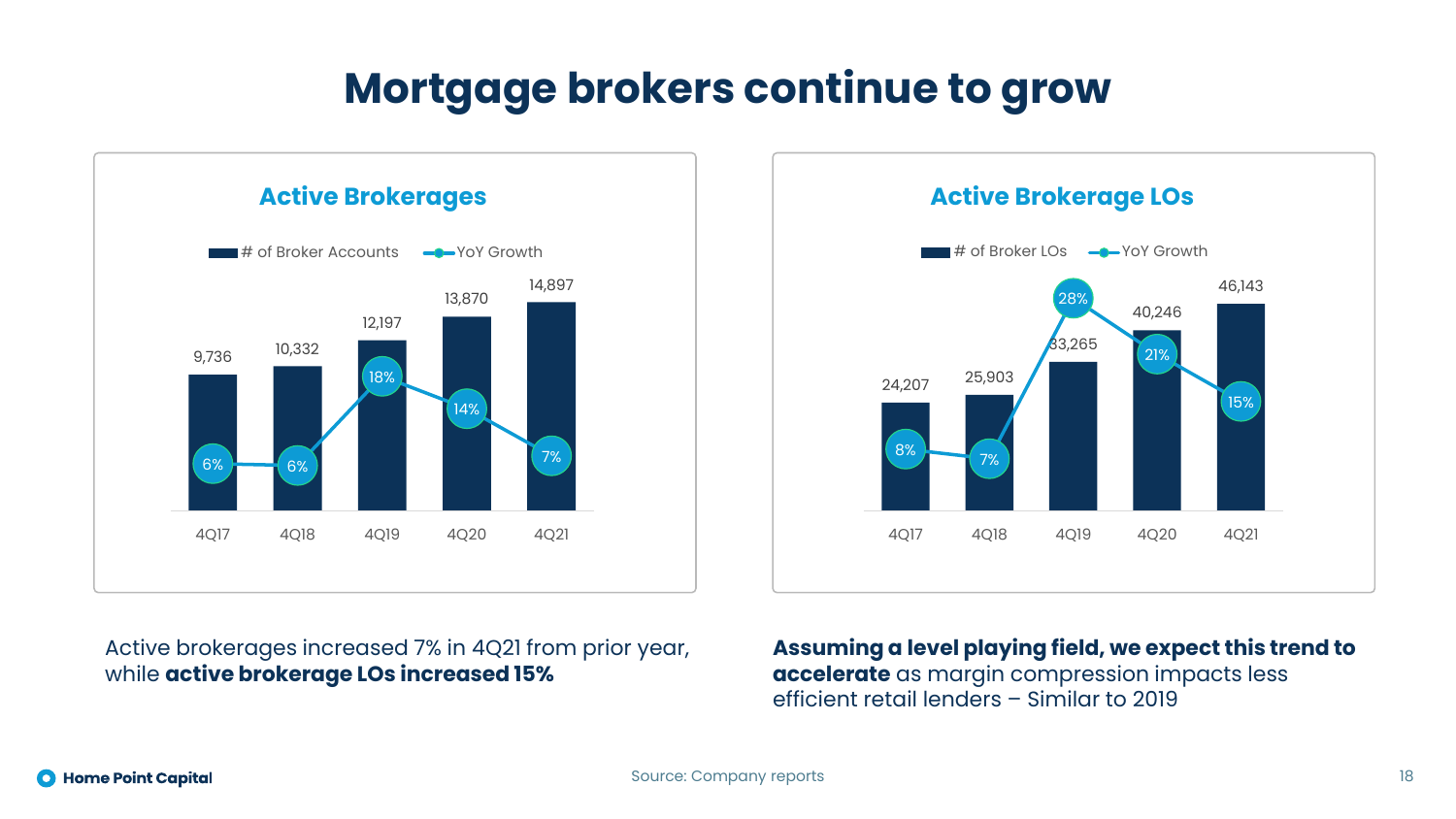### **Mortgage brokers continue to grow**



### 24,207 25,903 33,265 40,246 46,143 8% 7% 28% 21% 15% 4Q17 4Q18 4Q19 4Q20 4Q21 # of Broker LOs  $\rightarrow$  YoY Growth

Active brokerages increased 7% in 4Q21 from prior year, while **active brokerage LOs increased 15%**

**Assuming a level playing field, we expect this trend to accelerate** as margin compression impacts less efficient retail lenders – Similar to 2019